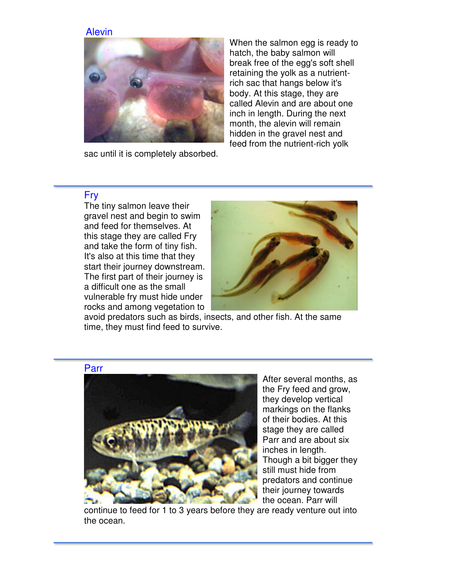## Alevin



sac until it is completely absorbed.

When the salmon egg is ready to hatch, the baby salmon will break free of the egg's soft shell retaining the yolk as a nutrientrich sac that hangs below it's body. At this stage, they are called Alevin and are about one inch in length. During the next month, the alevin will remain hidden in the gravel nest and feed from the nutrient-rich yolk

## Fry

 The tiny salmon leave their gravel nest and begin to swim and feed for themselves. At this stage they are called Fry and take the form of tiny fish. It's also at this time that they start their journey downstream. The first part of their journey is a difficult one as the small vulnerable fry must hide under rocks and among vegetation to



avoid predators such as birds, insects, and other fish. At the same time, they must find feed to survive.



After several months, as the Fry feed and grow, they develop vertical markings on the flanks of their bodies. At this stage they are called Parr and are about six inches in length. Though a bit bigger they still must hide from predators and continue their journey towards the ocean. Parr will

continue to feed for 1 to 3 years before they are ready venture out into the ocean.